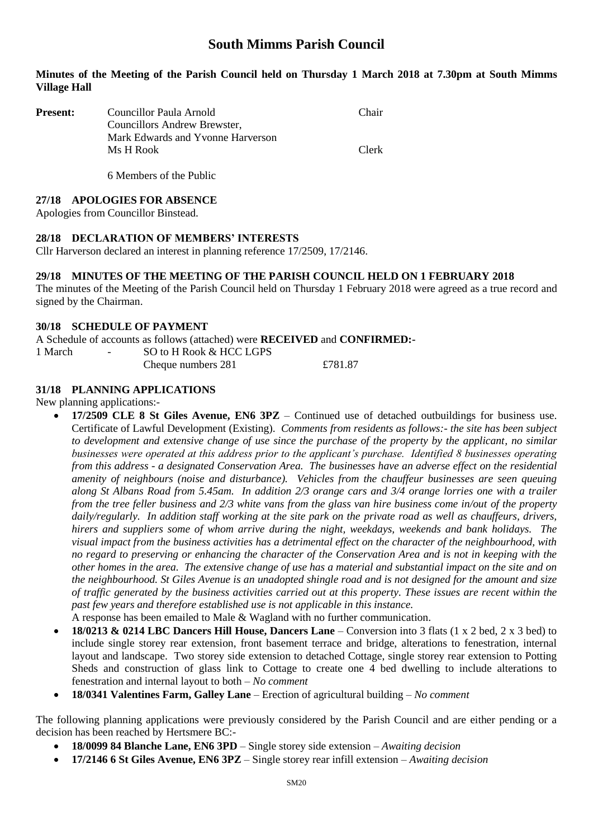# **South Mimms Parish Council**

## **Minutes of the Meeting of the Parish Council held on Thursday 1 March 2018 at 7.30pm at South Mimms Village Hall**

| <b>Present:</b> | Councillor Paula Arnold<br>Councillors Andrew Brewster, | Chair |
|-----------------|---------------------------------------------------------|-------|
|                 | Mark Edwards and Yvonne Harverson                       |       |
|                 | Ms H Rook                                               | Clerk |
|                 |                                                         |       |

6 Members of the Public

#### **27/18 APOLOGIES FOR ABSENCE**

Apologies from Councillor Binstead.

## **28/18 DECLARATION OF MEMBERS' INTERESTS**

Cllr Harverson declared an interest in planning reference 17/2509, 17/2146.

## **29/18 MINUTES OF THE MEETING OF THE PARISH COUNCIL HELD ON 1 FEBRUARY 2018**

The minutes of the Meeting of the Parish Council held on Thursday 1 February 2018 were agreed as a true record and signed by the Chairman.

## **30/18 SCHEDULE OF PAYMENT**

A Schedule of accounts as follows (attached) were **RECEIVED** and **CONFIRMED:-** 1 March - SO to H Rook & HCC LGPS Cheque numbers 281 £781.87

## **31/18 PLANNING APPLICATIONS**

New planning applications:-

• **17/2509 CLE 8 St Giles Avenue, EN6 3PZ** – Continued use of detached outbuildings for business use. Certificate of Lawful Development (Existing). *Comments from residents as follows:- the site has been subject to development and extensive change of use since the purchase of the property by the applicant, no similar businesses were operated at this address prior to the applicant's purchase. Identified 8 businesses operating from this address - a designated Conservation Area. The businesses have an adverse effect on the residential amenity of neighbours (noise and disturbance). Vehicles from the chauffeur businesses are seen queuing along St Albans Road from 5.45am. In addition 2/3 orange cars and 3/4 orange lorries one with a trailer from the tree feller business and 2/3 white vans from the glass van hire business come in/out of the property daily/regularly. In addition staff working at the site park on the private road as well as chauffeurs, drivers, hirers and suppliers some of whom arrive during the night, weekdays, weekends and bank holidays. The visual impact from the business activities has a detrimental effect on the character of the neighbourhood, with no regard to preserving or enhancing the character of the Conservation Area and is not in keeping with the other homes in the area. The extensive change of use has a material and substantial impact on the site and on the neighbourhood. St Giles Avenue is an unadopted shingle road and is not designed for the amount and size of traffic generated by the business activities carried out at this property. These issues are recent within the past few years and therefore established use is not applicable in this instance.*

A response has been emailed to Male & Wagland with no further communication.

- **18/0213 & 0214 LBC Dancers Hill House, Dancers Lane** Conversion into 3 flats (1 x 2 bed, 2 x 3 bed) to include single storey rear extension, front basement terrace and bridge, alterations to fenestration, internal layout and landscape. Two storey side extension to detached Cottage, single storey rear extension to Potting Sheds and construction of glass link to Cottage to create one 4 bed dwelling to include alterations to fenestration and internal layout to both – *No comment*
- **18/0341 Valentines Farm, Galley Lane** Erection of agricultural building *No comment*

The following planning applications were previously considered by the Parish Council and are either pending or a decision has been reached by Hertsmere BC:-

- **18/0099 84 Blanche Lane, EN6 3PD** Single storey side extension *Awaiting decision*
- **17/2146 6 St Giles Avenue, EN6 3PZ** Single storey rear infill extension *Awaiting decision*